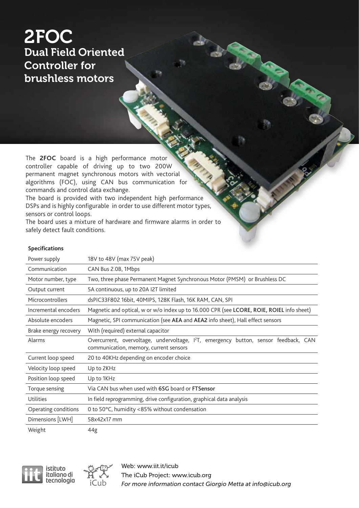### 2FOC Dual Field Oriented Controller for brushless motors

The **2FOC** board is a high performance motor controller capable of driving up to two 200W permanent magnet synchronous motors with vectorial algorithms (FOC), using CAN bus communication for commands and control data exchange.

The board is provided with two independent high performance DSPs and is highly configurable in order to use different motor types, sensors or control loops.

The board uses a mixture of hardware and firmware alarms in order to safely detect fault conditions.

### **Specifications**

| Power supply          | 18V to 48V (max 75V peak)                                                                                                                  |
|-----------------------|--------------------------------------------------------------------------------------------------------------------------------------------|
| Communication         | CAN Bus 2.0B, 1Mbps                                                                                                                        |
| Motor number, type    | Two, three phase Permanent Magnet Synchronous Motor (PMSM) or Brushless DC                                                                 |
| Output current        | 5A continuous, up to 20A I2T limited                                                                                                       |
| Microcontrollers      | dsPIC33F802 16bit, 40MIPS, 128K Flash, 16K RAM, CAN, SPI                                                                                   |
| Incremental encoders  | Magnetic and optical, w or w/o index up to 16.000 CPR (see LCORE, ROIE, ROIEL info sheet)                                                  |
| Absolute encoders     | Magnetic, SPI communication (see AEA and AEA2 info sheet), Hall effect sensors                                                             |
| Brake energy recovery | With (required) external capacitor                                                                                                         |
| Alarms                | Overcurrent, overvoltage, undervoltage, I <sup>2</sup> T, emergency button, sensor feedback, CAN<br>communication, memory, current sensors |
| Current loop speed    | 20 to 40KHz depending on encoder choice                                                                                                    |
| Velocity loop speed   | Up to 2KHz                                                                                                                                 |
| Position loop speed   | Up to 1KHz                                                                                                                                 |
| Torque sensing        | Via CAN bus when used with 6SG board or FTSensor                                                                                           |
| Utilities             | In field reprogramming, drive configuration, graphical data analysis                                                                       |
| Operating conditions  | 0 to 50°C, humidity <85% without condensation                                                                                              |
| Dimensions [LWH]      | 58x42x17 mm                                                                                                                                |
| Weight                | 44g                                                                                                                                        |



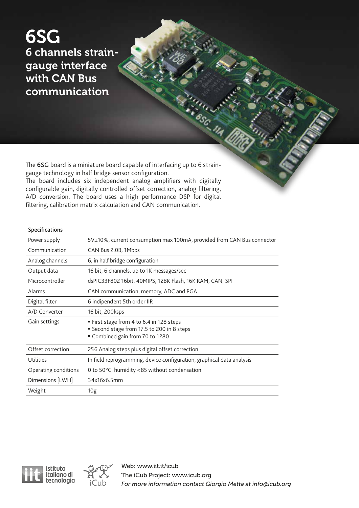6SG 6 channels straingauge interface with CAN Bus communication

The 6SG board is a miniature board capable of interfacing up to 6 straingauge technology in half bridge sensor configuration.

The board includes six independent analog amplifiers with digitally configurable gain, digitally controlled offset correction, analog filtering, A/D conversion. The board uses a high performance DSP for digital filtering, calibration matrix calculation and CAN communication.

#### Specifications

| Power supply         | 5V±10%, current consumption max 100mA, provided from CAN Bus connector                                                  |
|----------------------|-------------------------------------------------------------------------------------------------------------------------|
| Communication        | CAN Bus 2.0B, 1Mbps                                                                                                     |
| Analog channels      | 6, in half bridge configuration                                                                                         |
| Output data          | 16 bit, 6 channels, up to 1K messages/sec                                                                               |
| Microcontroller      | dsPIC33F802 16bit, 40MIPS, 128K Flash, 16K RAM, CAN, SPI                                                                |
| Alarms               | CAN communication, memory, ADC and PGA                                                                                  |
| Digital filter       | 6 indipendent 5th order IIR                                                                                             |
| A/D Converter        | 16 bit, 200ksps                                                                                                         |
| Gain settings        | ■ First stage from 4 to 6.4 in 128 steps<br>Second stage from 17.5 to 200 in 8 steps<br>" Combined gain from 70 to 1280 |
| Offset correction    | 256 Analog steps plus digital offset correction                                                                         |
| <b>Utilities</b>     | In field reprogramming, device configuration, graphical data analysis                                                   |
| Operating conditions | 0 to 50 $\degree$ C, humidity <85 without condensation                                                                  |
| Dimensions [LWH]     | 34x16x6.5mm                                                                                                             |
| Weight               | 10 <sub>g</sub>                                                                                                         |





Web: www.iit.it/icub The iCub Project: www.icub.org *For more information contact Giorgio Metta at info@icub.org*

**ESG-11A**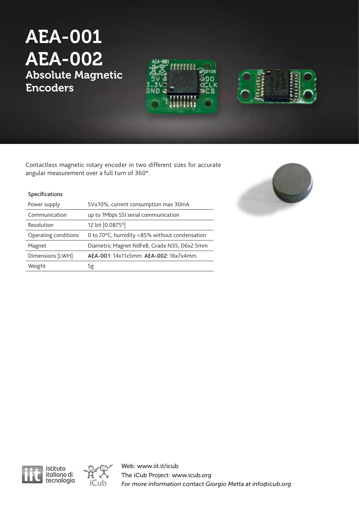## AEA-001 AEA-002 Absolute Magnetic Encoders





Contactless magnetic rotary encoder in two different sizes for accurate angular measurement over a full turn of 360°.

### Specifications

| Power supply         | 5V±10%, current consumption max 30mA          |
|----------------------|-----------------------------------------------|
| Communication        | up to 1Mbps SSI serial communication          |
| Resolution           | 12 bit [0.0875°]                              |
| Operating conditions | 0 to 70°C, humidity <85% without condensation |
| Magnet               | Diametric Magnet NdFeB, Grade N35, D6x2.5mm   |
| Dimensions [LWH]     | AEA-001: 14x11x5mm AEA-002: 16x7x4mm          |
| Weight               | 5g                                            |





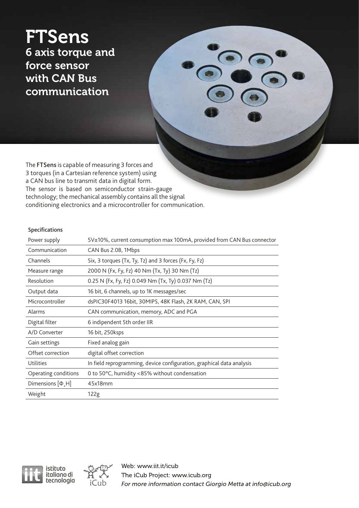### **FTSens** 6 axis torque and force sensor with CAN Bus communication

The FTSens is capable of measuring 3 forces and 3 torques (in a Cartesian reference system) using a CAN bus line to transmit data in digital form. The sensor is based on semiconductor strain-gauge technology; the mechanical assembly contains all the signal conditioning electronics and a microcontroller for communication.

### Specifications

| Power supply           | 5V±10%, current consumption max 100mA, provided from CAN Bus connector |
|------------------------|------------------------------------------------------------------------|
| Communication          | CAN Bus 2.0B, 1Mbps                                                    |
| Channels               | Six, 3 torques (Tx, Ty, Tz) and 3 forces (Fx, Fy, Fz)                  |
| Measure range          | 2000 N (Fx, Fy, Fz) 40 Nm (Tx, Ty) 30 Nm (Tz)                          |
| Resolution             | 0.25 N (Fx, Fy, Fz) 0.049 Nm (Tx, Ty) 0.037 Nm (Tz)                    |
| Output data            | 16 bit, 6 channels, up to 1K messages/sec                              |
| Microcontroller        | dsPIC30F4013 16bit, 30MIPS, 48K Flash, 2K RAM, CAN, SPI                |
| Alarms                 | CAN communication, memory, ADC and PGA                                 |
| Digital filter         | 6 indipendent 5th order IIR                                            |
| A/D Converter          | 16 bit, 250ksps                                                        |
| Gain settings          | Fixed analog gain                                                      |
| Offset correction      | digital offset correction                                              |
| Utilities              | In field reprogramming, device configuration, graphical data analysis  |
| Operating conditions   | 0 to 50°C, humidity <85% without condensation                          |
| Dimensions $[\Phi, H]$ | 45x18mm                                                                |
| Weight                 | 122g                                                                   |





S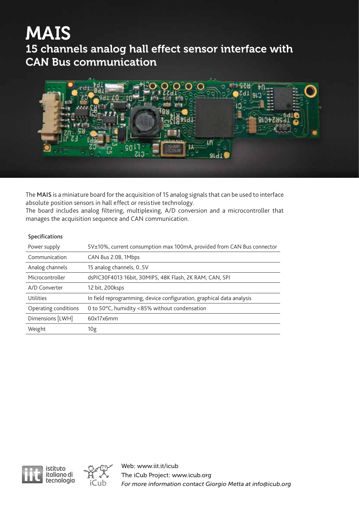## MAIS

15 channels analog hall effect sensor interface with CAN Bus communication



The MAIS is a miniature board for the acquisition of 15 analog signals that can be used to interface absolute position sensors in hall effect or resistive technology.

The board includes analog filtering, multiplexing, A/D conversion and a microcontroller that manages the acquisition sequence and CAN communication.

### Specifications

| Power supply         | 5V±10%, current consumption max 100mA, provided from CAN Bus connector |
|----------------------|------------------------------------------------------------------------|
| Communication        | CAN Bus 2.0B, 1Mbps                                                    |
| Analog channels      | 15 analog channels, 05V                                                |
| Microcontroller      | dsPIC30F4013 16bit, 30MIPS, 48K Flash, 2K RAM, CAN, SPI                |
| A/D Converter        | 12 bit, 200ksps                                                        |
| Utilities            | In field reprogramming, device configuration, graphical data analysis  |
| Operating conditions | 0 to 50°C, humidity <85% without condensation                          |
| Dimensions [LWH]     | 60x17x6mm                                                              |
| Weight               | 10g                                                                    |



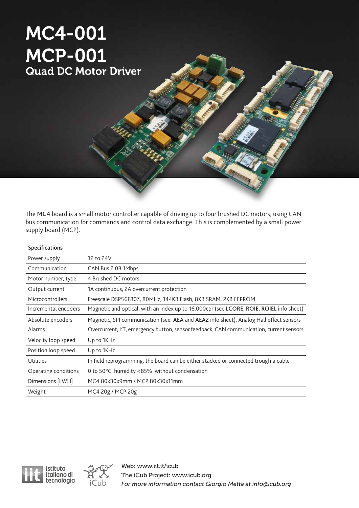## MC4-001 MCP-001 Quad DC Motor Driver

The MC4 board is a small motor controller capable of driving up to four brushed DC motors, using CAN bus communication for commands and control data exchange. This is complemented by a small power supply board (MCP).

| <b>Specifications</b> |                                                                                                     |
|-----------------------|-----------------------------------------------------------------------------------------------------|
| Power supply          | 12 to 24V                                                                                           |
| Communication         | CAN Bus 2.0B 1Mbps                                                                                  |
| Motor number, type    | 4 Brushed DC motors                                                                                 |
| Output current        | 1A continuous, 2A overcurrent protection                                                            |
| Microcontrollers      | Freescale DSP56F807, 80MHz, 144KB Flash, 8KB SRAM, 2KB EEPROM                                       |
| Incremental encoders  | Magnetic and optical, with an index up to 16.000cpr (see LCORE, ROIE, ROIEL info sheet)             |
| Absolute encoders     | Magnetic, SPI communication (see AEA and AEA2 info sheet), Analog Hall effect sensors               |
| Alarms                | Overcurrent, <sup>12</sup> T, emergency button, sensor feedback, CAN communication, current sensors |
| Velocity loop speed   | Up to 1KHz                                                                                          |
| Position loop speed   | Up to 1KHz                                                                                          |
| Utilities             | In field reprogramming, the board can be either stacked or connected trough a cable                 |
| Operating conditions  | 0 to 50°C, humidity <85% without condensation                                                       |
| Dimensions [LWH]      | MC4 80x30x9mm / MCP 80x30x11mm                                                                      |
| Weight                | MC4 20g / MCP 20g                                                                                   |
|                       |                                                                                                     |



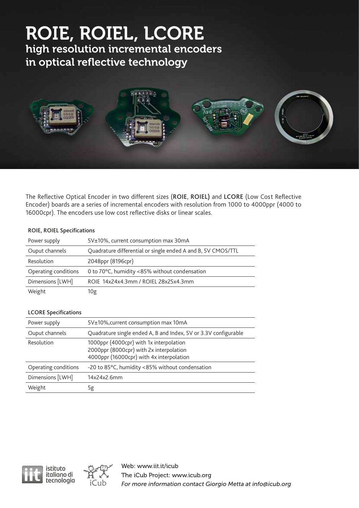# ROIE, ROIEL, LCORE

high resolution incremental encoders in optical reflective technology



The Reflective Optical Encoder in two different sizes (ROIE, ROIEL) and LCORE (Low Cost Reflective Encoder) boards are a series of incremental encoders with resolution from 1000 to 4000ppr (4000 to 16000cpr). The encoders use low cost reflective disks or linear scales.

### ROIE, ROIEL Specifications

| Power supply         | 5V±10%, current consumption max 30mA                         |
|----------------------|--------------------------------------------------------------|
| Ouput channels       | Quadrature differential or single ended A and B, 5V CMOS/TTL |
| Resolution           | 2048ppr (8196cpr)                                            |
| Operating conditions | 0 to 70°C, humidity <85% without condensation                |
| Dimensions [LWH]     | ROIE 14x24x4.3mm / ROIEL 28x25x4.3mm                         |
| Weight               | 10g                                                          |

### LCORE Specifications

| Power supply         | 5V±10%, current consumption max 10mA                                                                                           |
|----------------------|--------------------------------------------------------------------------------------------------------------------------------|
| Ouput channels       | Quadrature single ended A, B and Index, 5V or 3.3V configurable                                                                |
| Resolution           | 1000ppr (4000cpr) with 1x interpolation<br>2000ppr (8000cpr) with 2x interpolation<br>4000ppr (16000cpr) with 4x interpolation |
| Operating conditions | -20 to 85°C, humidity <85% without condensation                                                                                |
| Dimensions [LWH]     | 14x24x2.6mm                                                                                                                    |
| Weight               | Ьg                                                                                                                             |



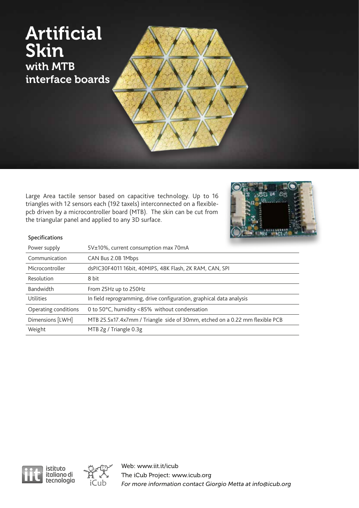### Artificial Skin with MTB interface boards

Large Area tactile sensor based on capacitive technology. Up to 16 triangles with 12 sensors each (192 taxels) interconnected on a flexiblepcb driven by a microcontroller board (MTB). The skin can be cut from the triangular panel and applied to any 3D surface.



### Specifications

| Power supply         | 5V±10%, current consumption max 70mA                                        |
|----------------------|-----------------------------------------------------------------------------|
| Communication        | CAN Bus 2.0B 1Mbps                                                          |
| Microcontroller      | dsPIC30F4011 16bit, 40MIPS, 48K Flash, 2K RAM, CAN, SPI                     |
| Resolution           | 8 bit                                                                       |
| <b>Bandwidth</b>     | From 25Hz up to 250Hz                                                       |
| Utilities            | In field reprogramming, drive configuration, graphical data analysis        |
| Operating conditions | 0 to 50°C, humidity <85% without condensation                               |
| Dimensions [LWH]     | MTB 25.5x17.4x7mm / Triangle side of 30mm, etched on a 0.22 mm flexible PCB |
| Weight               | MTB 2g / Triangle 0.3g                                                      |



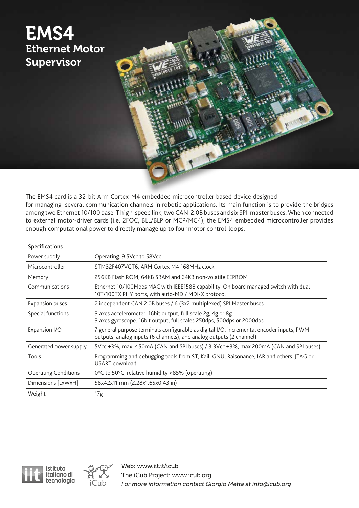

The EMS4 card is a 32-bit Arm Cortex-M4 embedded microcontroller based device designed for managing several communication channels in robotic applications. Its main function is to provide the bridges among two Ethernet 10/100 base-T high-speed link, two CAN-2.0B buses and six SPI-master buses. When connected to external motor-driver cards (i.e. 2FOC, BLL/BLP or MCP/MC4), the EMS4 embedded microcontroller provides enough computational power to directly manage up to four motor control-loops.

#### Specifications

| Power supply                | Operating: 9.5Vcc to 58Vcc                                                                                                                                      |
|-----------------------------|-----------------------------------------------------------------------------------------------------------------------------------------------------------------|
| Microcontroller             | STM32F407VGT6, ARM Cortex M4 168MHz clock                                                                                                                       |
| Memory                      | 256KB Flash ROM, 64KB SRAM and 64KB non-volatile EEPROM                                                                                                         |
| Communications              | Ethernet 10/100Mbps MAC with IEEE1588 capability. On board managed switch with dual<br>10T/100TX PHY ports, with auto-MDI/ MDI-X protocol                       |
| <b>Expansion buses</b>      | 2 independent CAN 2.0B buses / 6 (3x2 multiplexed) SPI Master buses                                                                                             |
| Special functions           | 3 axes accelerometer: 16bit output, full scale 2g, 4g or 8g<br>3 axes gyroscope: 16bit output, full scales 250dps, 500dps or 2000dps                            |
| Expansion I/O               | 7 general purpose terminals configurable as digital I/O, incremental encoder inputs, PWM<br>outputs, analog inputs (6 channels), and analog outputs (2 channel) |
| Generated power supply      | 5Vcc ±3%, max. 450mA (CAN and SPI buses) / 3.3Vcc ±3%, max 200mA (CAN and SPI buses)                                                                            |
| Tools                       | Programming and debugging tools from ST, Kail, GNU, Raisonance, IAR and others. JTAG or<br><b>USART</b> download                                                |
| <b>Operating Conditions</b> | 0°C to 50°C, relative humidity <85% (operating)                                                                                                                 |
| Dimensions [LxWxH]          | 58x42x11 mm (2.28x1.65x0.43 in)                                                                                                                                 |
| Weight                      | 17g                                                                                                                                                             |



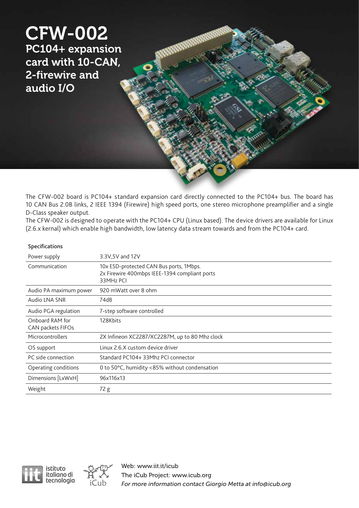

The CFW-002 board is PC104+ standard expansion card directly connected to the PC104+ bus. The board has 10 CAN Bus 2.0B links, 2 IEEE 1394 (Firewire) high speed ports, one stereo microphone preamplifier and a single D-Class speaker output.

The CFW-002 is designed to operate with the PC104+ CPU (Linux based). The device drivers are available for Linux (2.6.x kernal) which enable high bandwidth, low latency data stream towards and from the PC104+ card.

| Specifications |
|----------------|
|----------------|

| Power supply                         | 3.3V,5V and 12V                                                                                       |
|--------------------------------------|-------------------------------------------------------------------------------------------------------|
| Communication                        | 10x ESD-protected CAN Bus ports, 1Mbps.<br>2x Firewire 400mbps IEEE-1394 compliant ports<br>33MHz PCI |
| Audio PA maximum power               | 920 mWatt over 8 ohm                                                                                  |
| Audio LNA SNR                        | 74dB                                                                                                  |
| Audio PGA regulation                 | 7-step software controlled                                                                            |
| Onboard RAM for<br>CAN packets FIFOs | 128Kbits                                                                                              |
| Microcontrollers                     | 2X Infineon XC2287/XC2287M, up to 80 Mhz clock                                                        |
| OS support                           | Linux 2.6.X custom device driver                                                                      |
| PC side connection                   | Standard PC104+33Mhz PCI connector                                                                    |
| Operating conditions                 | 0 to 50°C, humidity <85% without condensation                                                         |
| Dimensions [LxWxH]                   | 96x116x13                                                                                             |
| Weight                               | 72 g                                                                                                  |